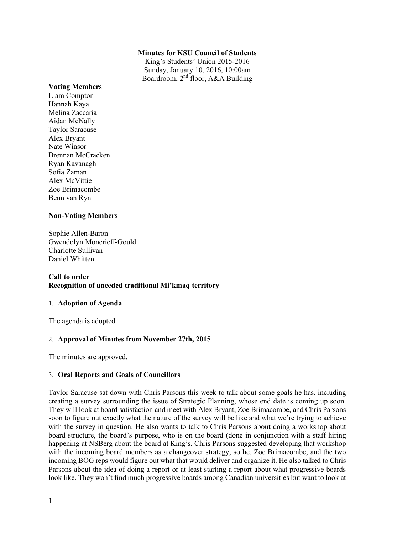## **Minutes for KSU Council of Students**

King's Students' Union 2015-2016 Sunday, January 10, 2016, 10:00am Boardroom, 2nd floor, A&A Building

#### **Voting Members**

Liam Compton Hannah Kaya Melina Zaccaria Aidan McNally Taylor Saracuse Alex Bryant Nate Winsor Brennan McCracken Ryan Kavanagh Sofia Zaman Alex McVittie Zoe Brimacombe Benn van Ryn

## **Non-Voting Members**

Sophie Allen-Baron Gwendolyn Moncrieff-Gould Charlotte Sullivan Daniel Whitten

## **Call to order Recognition of unceded traditional Mi'kmaq territory**

## 1. **Adoption of Agenda**

The agenda is adopted.

## 2. **Approval of Minutes from November 27th, 2015**

The minutes are approved.

## 3. **Oral Reports and Goals of Councillors**

Taylor Saracuse sat down with Chris Parsons this week to talk about some goals he has, including creating a survey surrounding the issue of Strategic Planning, whose end date is coming up soon. They will look at board satisfaction and meet with Alex Bryant, Zoe Brimacombe, and Chris Parsons soon to figure out exactly what the nature of the survey will be like and what we're trying to achieve with the survey in question. He also wants to talk to Chris Parsons about doing a workshop about board structure, the board's purpose, who is on the board (done in conjunction with a staff hiring happening at NSBerg about the board at King's. Chris Parsons suggested developing that workshop with the incoming board members as a changeover strategy, so he, Zoe Brimacombe, and the two incoming BOG reps would figure out what that would deliver and organize it. He also talked to Chris Parsons about the idea of doing a report or at least starting a report about what progressive boards look like. They won't find much progressive boards among Canadian universities but want to look at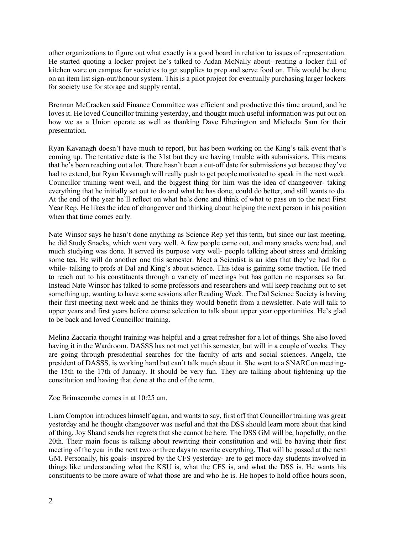other organizations to figure out what exactly is a good board in relation to issues of representation. He started quoting a locker project he's talked to Aidan McNally about- renting a locker full of kitchen ware on campus for societies to get supplies to prep and serve food on. This would be done on an item list sign-out/honour system. This is a pilot project for eventually purchasing larger lockers for society use for storage and supply rental.

Brennan McCracken said Finance Committee was efficient and productive this time around, and he loves it. He loved Councillor training yesterday, and thought much useful information was put out on how we as a Union operate as well as thanking Dave Etherington and Michaela Sam for their presentation.

Ryan Kavanagh doesn't have much to report, but has been working on the King's talk event that's coming up. The tentative date is the 31st but they are having trouble with submissions. This means that he's been reaching out a lot. There hasn't been a cut-off date for submissions yet because they've had to extend, but Ryan Kavanagh will really push to get people motivated to speak in the next week. Councillor training went well, and the biggest thing for him was the idea of changeover- taking everything that he initially set out to do and what he has done, could do better, and still wants to do. At the end of the year he'll reflect on what he's done and think of what to pass on to the next First Year Rep. He likes the idea of changeover and thinking about helping the next person in his position when that time comes early.

Nate Winsor says he hasn't done anything as Science Rep yet this term, but since our last meeting, he did Study Snacks, which went very well. A few people came out, and many snacks were had, and much studying was done. It served its purpose very well- people talking about stress and drinking some tea. He will do another one this semester. Meet a Scientist is an idea that they've had for a while- talking to profs at Dal and King's about science. This idea is gaining some traction. He tried to reach out to his constituents through a variety of meetings but has gotten no responses so far. Instead Nate Winsor has talked to some professors and researchers and will keep reaching out to set something up, wanting to have some sessions after Reading Week. The Dal Science Society is having their first meeting next week and he thinks they would benefit from a newsletter. Nate will talk to upper years and first years before course selection to talk about upper year opportunities. He's glad to be back and loved Councillor training.

Melina Zaccaria thought training was helpful and a great refresher for a lot of things. She also loved having it in the Wardroom. DASSS has not met yet this semester, but will in a couple of weeks. They are going through presidential searches for the faculty of arts and social sciences. Angela, the president of DASSS, is working hard but can't talk much about it. She went to a SNARCon meetingthe 15th to the 17th of January. It should be very fun. They are talking about tightening up the constitution and having that done at the end of the term.

Zoe Brimacombe comes in at 10:25 am.

Liam Compton introduces himself again, and wants to say, first off that Councillor training was great yesterday and he thought changeover was useful and that the DSS should learn more about that kind of thing. Joy Shand sends her regrets that she cannot be here. The DSS GM will be, hopefully, on the 20th. Their main focus is talking about rewriting their constitution and will be having their first meeting of the year in the next two or three days to rewrite everything. That will be passed at the next GM. Personally, his goals- inspired by the CFS yesterday- are to get more day students involved in things like understanding what the KSU is, what the CFS is, and what the DSS is. He wants his constituents to be more aware of what those are and who he is. He hopes to hold office hours soon,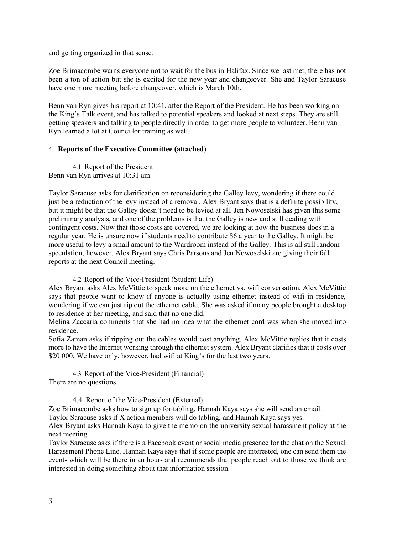and getting organized in that sense.

Zoe Brimacombe warns everyone not to wait for the bus in Halifax. Since we last met, there has not been a ton of action but she is excited for the new year and changeover. She and Taylor Saracuse have one more meeting before changeover, which is March 10th.

Benn van Ryn gives his report at 10:41, after the Report of the President. He has been working on the King's Talk event, and has talked to potential speakers and looked at next steps. They are still getting speakers and talking to people directly in order to get more people to volunteer. Benn van Ryn learned a lot at Councillor training as well.

## 4. **Reports of the Executive Committee (attached)**

4.1 Report of the President Benn van Ryn arrives at 10:31 am.

Taylor Saracuse asks for clarification on reconsidering the Galley levy, wondering if there could just be a reduction of the levy instead of a removal. Alex Bryant says that is a definite possibility, but it might be that the Galley doesn't need to be levied at all. Jen Nowoselski has given this some preliminary analysis, and one of the problems is that the Galley is new and still dealing with contingent costs. Now that those costs are covered, we are looking at how the business does in a regular year. He is unsure now if students need to contribute \$6 a year to the Galley. It might be more useful to levy a small amount to the Wardroom instead of the Galley. This is all still random speculation, however. Alex Bryant says Chris Parsons and Jen Nowoselski are giving their fall reports at the next Council meeting.

4.2 Report of the Vice-President (Student Life)

Alex Bryant asks Alex McVittie to speak more on the ethernet vs. wifi conversation. Alex McVittie says that people want to know if anyone is actually using ethernet instead of wifi in residence, wondering if we can just rip out the ethernet cable. She was asked if many people brought a desktop to residence at her meeting, and said that no one did.

Melina Zaccaria comments that she had no idea what the ethernet cord was when she moved into residence.

Sofia Zaman asks if ripping out the cables would cost anything. Alex McVittie replies that it costs more to have the Internet working through the ethernet system. Alex Bryant clarifies that it costs over \$20 000. We have only, however, had wifi at King's for the last two years.

4.3 Report of the Vice-President (Financial) There are no questions.

4.4 Report of the Vice-President (External)

Zoe Brimacombe asks how to sign up for tabling. Hannah Kaya says she will send an email.

Taylor Saracuse asks if X action members will do tabling, and Hannah Kaya says yes.

Alex Bryant asks Hannah Kaya to give the memo on the university sexual harassment policy at the next meeting.

Taylor Saracuse asks if there is a Facebook event or social media presence for the chat on the Sexual Harassment Phone Line. Hannah Kaya says that if some people are interested, one can send them the event- which will be there in an hour- and recommends that people reach out to those we think are interested in doing something about that information session.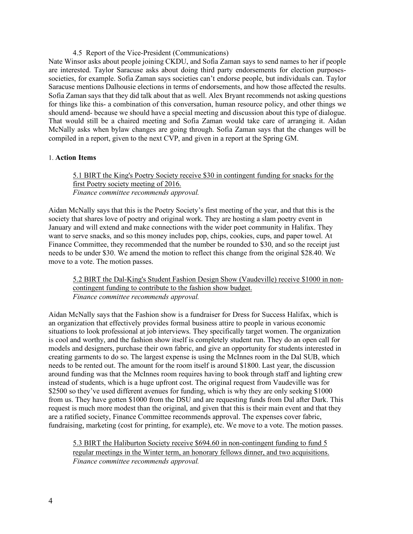## 4.5 Report of the Vice-President (Communications)

Nate Winsor asks about people joining CKDU, and Sofia Zaman says to send names to her if people are interested. Taylor Saracuse asks about doing third party endorsements for election purposessocieties, for example. Sofia Zaman says societies can't endorse people, but individuals can. Taylor Saracuse mentions Dalhousie elections in terms of endorsements, and how those affected the results. Sofia Zaman says that they did talk about that as well. Alex Bryant recommends not asking questions for things like this- a combination of this conversation, human resource policy, and other things we should amend- because we should have a special meeting and discussion about this type of dialogue. That would still be a chaired meeting and Sofia Zaman would take care of arranging it. Aidan McNally asks when bylaw changes are going through. Sofia Zaman says that the changes will be compiled in a report, given to the next CVP, and given in a report at the Spring GM.

## 1. **Action Items**

# 5.1 BIRT the King's Poetry Society receive \$30 in contingent funding for snacks for the first Poetry society meeting of 2016. *Finance committee recommends approval.*

Aidan McNally says that this is the Poetry Society's first meeting of the year, and that this is the society that shares love of poetry and original work. They are hosting a slam poetry event in January and will extend and make connections with the wider poet community in Halifax. They want to serve snacks, and so this money includes pop, chips, cookies, cups, and paper towel. At Finance Committee, they recommended that the number be rounded to \$30, and so the receipt just needs to be under \$30. We amend the motion to reflect this change from the original \$28.40. We move to a vote. The motion passes.

## 5.2 BIRT the Dal-King's Student Fashion Design Show (Vaudeville) receive \$1000 in noncontingent funding to contribute to the fashion show budget. *Finance committee recommends approval.*

Aidan McNally says that the Fashion show is a fundraiser for Dress for Success Halifax, which is an organization that effectively provides formal business attire to people in various economic situations to look professional at job interviews. They specifically target women. The organization is cool and worthy, and the fashion show itself is completely student run. They do an open call for models and designers, purchase their own fabric, and give an opportunity for students interested in creating garments to do so. The largest expense is using the McInnes room in the Dal SUB, which needs to be rented out. The amount for the room itself is around \$1800. Last year, the discussion around funding was that the McInnes room requires having to book through staff and lighting crew instead of students, which is a huge upfront cost. The original request from Vaudeville was for \$2500 so they've used different avenues for funding, which is why they are only seeking \$1000 from us. They have gotten \$1000 from the DSU and are requesting funds from Dal after Dark. This request is much more modest than the original, and given that this is their main event and that they are a ratified society, Finance Committee recommends approval. The expenses cover fabric, fundraising, marketing (cost for printing, for example), etc. We move to a vote. The motion passes.

5.3 BIRT the Haliburton Society receive \$694.60 in non-contingent funding to fund 5 regular meetings in the Winter term, an honorary fellows dinner, and two acquisitions. *Finance committee recommends approval.*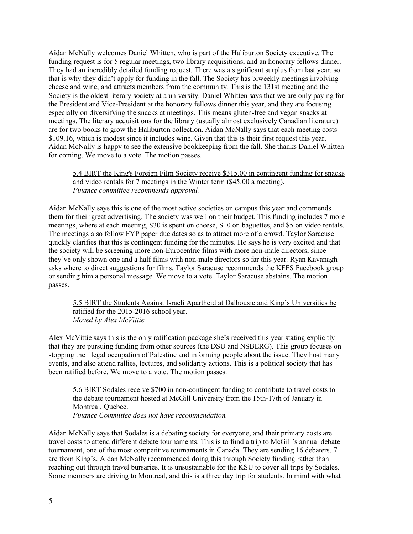Aidan McNally welcomes Daniel Whitten, who is part of the Haliburton Society executive. The funding request is for 5 regular meetings, two library acquisitions, and an honorary fellows dinner. They had an incredibly detailed funding request. There was a significant surplus from last year, so that is why they didn't apply for funding in the fall. The Society has biweekly meetings involving cheese and wine, and attracts members from the community. This is the 131st meeting and the Society is the oldest literary society at a university. Daniel Whitten says that we are only paying for the President and Vice-President at the honorary fellows dinner this year, and they are focusing especially on diversifying the snacks at meetings. This means gluten-free and vegan snacks at meetings. The literary acquisitions for the library (usually almost exclusively Canadian literature) are for two books to grow the Haliburton collection. Aidan McNally says that each meeting costs \$109.16, which is modest since it includes wine. Given that this is their first request this year, Aidan McNally is happy to see the extensive bookkeeping from the fall. She thanks Daniel Whitten for coming. We move to a vote. The motion passes.

## 5.4 BIRT the King's Foreign Film Society receive \$315.00 in contingent funding for snacks and video rentals for 7 meetings in the Winter term (\$45.00 a meeting). *Finance committee recommends approval.*

Aidan McNally says this is one of the most active societies on campus this year and commends them for their great advertising. The society was well on their budget. This funding includes 7 more meetings, where at each meeting, \$30 is spent on cheese, \$10 on baguettes, and \$5 on video rentals. The meetings also follow FYP paper due dates so as to attract more of a crowd. Taylor Saracuse quickly clarifies that this is contingent funding for the minutes. He says he is very excited and that the society will be screening more non-Eurocentric films with more non-male directors, since they've only shown one and a half films with non-male directors so far this year. Ryan Kavanagh asks where to direct suggestions for films. Taylor Saracuse recommends the KFFS Facebook group or sending him a personal message. We move to a vote. Taylor Saracuse abstains. The motion passes.

5.5 BIRT the Students Against Israeli Apartheid at Dalhousie and King's Universities be ratified for the 2015-2016 school year. *Moved by Alex McVittie*

Alex McVittie says this is the only ratification package she's received this year stating explicitly that they are pursuing funding from other sources (the DSU and NSBERG). This group focuses on stopping the illegal occupation of Palestine and informing people about the issue. They host many events, and also attend rallies, lectures, and solidarity actions. This is a political society that has been ratified before. We move to a vote. The motion passes.

5.6 BIRT Sodales receive \$700 in non-contingent funding to contribute to travel costs to the debate tournament hosted at McGill University from the 15th-17th of January in Montreal, Quebec. *Finance Committee does not have recommendation.*

Aidan McNally says that Sodales is a debating society for everyone, and their primary costs are travel costs to attend different debate tournaments. This is to fund a trip to McGill's annual debate tournament, one of the most competitive tournaments in Canada. They are sending 16 debaters. 7 are from King's. Aidan McNally recommended doing this through Society funding rather than reaching out through travel bursaries. It is unsustainable for the KSU to cover all trips by Sodales. Some members are driving to Montreal, and this is a three day trip for students. In mind with what